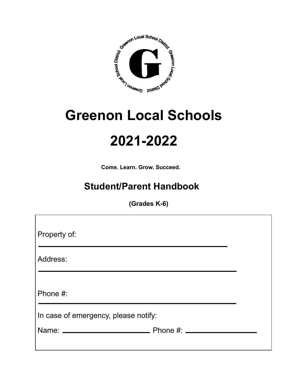

# **Greenon Local Schools**

## **2021-2022**

**Come. Learn. Grow. Succeed.**

## **Student/Parent Handbook**

**(Grades K-6)**

| Property of:                         |  |
|--------------------------------------|--|
|                                      |  |
| Address:                             |  |
|                                      |  |
|                                      |  |
| Phone #:                             |  |
|                                      |  |
| In case of emergency, please notify: |  |
|                                      |  |
|                                      |  |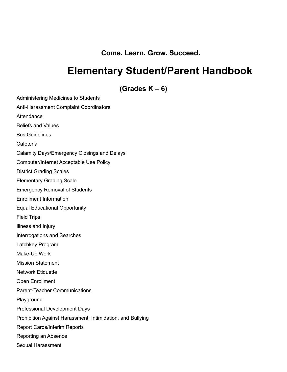**Come. Learn. Grow. Succeed.**

### **Elementary Student/Parent Handbook**

**(Grades K – 6)**

Administering Medicines to Students Anti-Harassment Complaint Coordinators **Attendance** Beliefs and Values Bus Guidelines Cafeteria Calamity Days/Emergency Closings and Delays Computer/Internet Acceptable Use Policy District Grading Scales Elementary Grading Scale Emergency Removal of Students Enrollment Information Equal Educational Opportunity Field Trips Illness and Injury Interrogations and Searches Latchkey Program Make-Up Work Mission Statement Network Etiquette Open Enrollment Parent-Teacher Communications Playground Professional Development Days Prohibition Against Harassment, Intimidation, and Bullying Report Cards/Interim Reports Reporting an Absence Sexual Harassment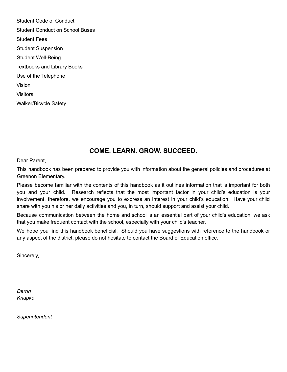Student Code of Conduct Student Conduct on School Buses Student Fees Student Suspension Student Well-Being Textbooks and Library Books Use of the Telephone Vision Visitors Walker/Bicycle Safety

#### **COME. LEARN. GROW. SUCCEED.**

Dear Parent,

This handbook has been prepared to provide you with information about the general policies and procedures at Greenon Elementary.

Please become familiar with the contents of this handbook as it outlines information that is important for both you and your child. Research reflects that the most important factor in your child's education is your involvement, therefore, we encourage you to express an interest in your child's education. Have your child share with you his or her daily activities and you, in turn, should support and assist your child.

Because communication between the home and school is an essential part of your child's education, we ask that you make frequent contact with the school, especially with your child's teacher.

We hope you find this handbook beneficial. Should you have suggestions with reference to the handbook or any aspect of the district, please do not hesitate to contact the Board of Education office.

Sincerely,

*Darrin Knapke*

*Superintendent*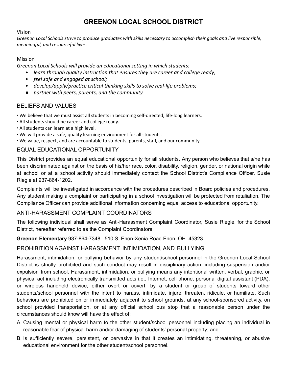#### **GREENON LOCAL SCHOOL DISTRICT**

#### Vision

Greenon Local Schools strive to produce graduates with skills necessary to accomplish their goals and live responsible, *meaningful, and resourceful lives.*

#### Mission

*Greenon Local Schools will provide an educational setting in which students:*

- *• learn through quality instruction that ensures they are career and college ready;*
- *• feel safe and engaged at school;*
- *• develop/apply/practice critical thinking skills to solve real-life problems;*
- *● partner with peers, parents, and the community.*

#### BELIEFS AND VALUES

- ∙ We believe that we must assist all students in becoming self-directed, life-long learners.
- ∙ All students should be career and college ready.
- ∙ All students can learn at a high level.
- ∙ We will provide a safe, quality learning environment for all students.
- ∙ We value, respect, and are accountable to students, parents, staff, and our community.

#### EQUAL EDUCATIONAL OPPORTUNITY

This District provides an equal educational opportunity for all students. Any person who believes that s/he has been discriminated against on the basis of his/her race, color, disability, religion, gender, or national origin while at school or at a school activity should immediately contact the School District's Compliance Officer, Susie Riegle at 937-864-1202.

Complaints will be investigated in accordance with the procedures described in Board policies and procedures. Any student making a complaint or participating in a school investigation will be protected from retaliation. The Compliance Officer can provide additional information concerning equal access to educational opportunity.

#### ANTI-HARASSMENT COMPLAINT COORDINATORS

The following individual shall serve as Anti-Harassment Complaint Coordinator, Susie Riegle, for the School District, hereafter referred to as the Complaint Coordinators.

#### **Greenon Elementary** 937-864-7348 510 S. Enon-Xenia Road Enon, OH 45323

#### PROHIBITION AGAINST HARASSMENT, INTIMIDATION, AND BULLYING

Harassment, intimidation, or bullying behavior by any student/school personnel in the Greenon Local School District is strictly prohibited and such conduct may result in disciplinary action, including suspension and/or expulsion from school. Harassment, intimidation, or bullying means any intentional written, verbal, graphic, or physical act including electronically transmitted acts i.e., Internet, cell phone, personal digital assistant (PDA), or wireless handheld device, either overt or covert, by a student or group of students toward other students/school personnel with the intent to harass, intimidate, injure, threaten, ridicule, or humiliate. Such behaviors are prohibited on or immediately adjacent to school grounds, at any school-sponsored activity, on school provided transportation, or at any official school bus stop that a reasonable person under the circumstances should know will have the effect of:

- A. Causing mental or physical harm to the other student/school personnel including placing an individual in reasonable fear of physical harm and/or damaging of students' personal property; and
- B. Is sufficiently severe, persistent, or pervasive in that it creates an intimidating, threatening, or abusive educational environment for the other student/school personnel.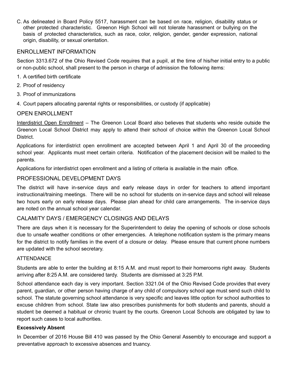C. As delineated in Board Policy 5517, harassment can be based on race, religion, disability status or other protected characteristic. Greenon High School will not tolerate harassment or bullying on the basis of protected characteristics, such as race, color, religion, gender, gender expression, national origin, disability, or sexual orientation.

#### ENROLLMENT INFORMATION

Section 3313.672 of the Ohio Revised Code requires that a pupil, at the time of his/her initial entry to a public or non-public school, shall present to the person in charge of admission the following items:

- 1. A certified birth certificate
- 2. Proof of residency
- 3. Proof of immunizations
- 4. Court papers allocating parental rights or responsibilities, or custody (if applicable)

#### OPEN ENROLLMENT

Interdistrict Open Enrollment – The Greenon Local Board also believes that students who reside outside the Greenon Local School District may apply to attend their school of choice within the Greenon Local School District.

Applications for interdistrict open enrollment are accepted between April 1 and April 30 of the proceeding school year. Applicants must meet certain criteria. Notification of the placement decision will be mailed to the parents.

Applications for interdistrict open enrollment and a listing of criteria is available in the main office.

#### PROFESSIONAL DEVELOPMENT DAYS

The district will have in-service days and early release days in order for teachers to attend important instructional/training meetings. There will be no school for students on in-service days and school will release two hours early on early release days. Please plan ahead for child care arrangements. The in-service days are noted on the annual school year calendar.

#### CALAMITY DAYS / EMERGENCY CLOSINGS AND DELAYS

There are days when it is necessary for the Superintendent to delay the opening of schools or close schools due to unsafe weather conditions or other emergencies. A telephone notification system is the primary means for the district to notify families in the event of a closure or delay. Please ensure that current phone numbers are updated with the school secretary.

#### **ATTENDANCE**

Students are able to enter the building at 8:15 A.M. and must report to their homerooms right away. Students arriving after 8:25 A.M. are considered tardy. Students are dismissed at 3:25 P.M.

School attendance each day is very important. Section 3321.04 of the Ohio Revised Code provides that every parent, guardian, or other person having charge of any child of compulsory school age must send such child to school. The statute governing school attendance is very specific and leaves little option for school authorities to excuse children from school. State law also prescribes punishments for both students and parents, should a student be deemed a habitual or chronic truant by the courts. Greenon Local Schools are obligated by law to report such cases to local authorities.

#### **Excessively Absent**

In December of 2016 House Bill 410 was passed by the Ohio General Assembly to encourage and support a preventative approach to excessive absences and truancy.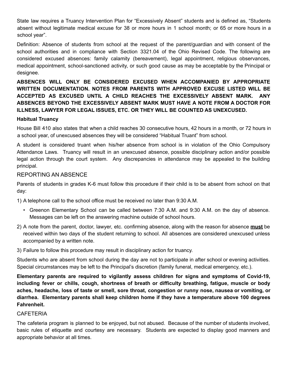State law requires a Truancy Intervention Plan for "Excessively Absent" students and is defined as, "Students absent without legitimate medical excuse for 38 or more hours in 1 school month; or 65 or more hours in a school year".

Definition: Absence of students from school at the request of the parent/guardian and with consent of the school authorities and in compliance with Section 3321.04 of the Ohio Revised Code. The following are considered excused absences: family calamity (bereavement), legal appointment, religious observances, medical appointment, school-sanctioned activity, or such good cause as may be acceptable by the Principal or designee.

**ABSENCES WILL ONLY BE CONSIDERED EXCUSED WHEN ACCOMPANIED BY APPROPRIATE WRITTEN DOCUMENTATION. NOTES FROM PARENTS WITH APPROVED EXCUSE LISTED WILL BE ACCEPTED AS EXCUSED UNTIL A CHILD REACHES THE EXCESSIVELY ABSENT MARK. ANY ABSENCES BEYOND THE EXCESSIVELY ABSENT MARK MUST HAVE A NOTE FROM A DOCTOR FOR ILLNESS, LAWYER FOR LEGAL ISSUES, ETC. OR THEY WILL BE COUNTED AS UNEXCUSED.**

#### **Habitual Truancy**

House Bill 410 also states that when a child reaches 30 consecutive hours, 42 hours in a month, or 72 hours in a school year, of unexcused absences they will be considered "Habitual Truant" from school.

A student is considered truant when his/her absence from school is in violation of the Ohio Compulsory Attendance Laws. Truancy will result in an unexcused absence, possible disciplinary action and/or possible legal action through the court system. Any discrepancies in attendance may be appealed to the building principal.

#### REPORTING AN ABSENCE

Parents of students in grades K-6 must follow this procedure if their child is to be absent from school on that day:

1) A telephone call to the school office must be received no later than 9:30 A.M.

- Greenon Elementary School can be called between 7:30 A.M. and 9:30 A.M. on the day of absence. Messages can be left on the answering machine outside of school hours.
- 2) A note from the parent, doctor, lawyer, etc. confirming absence, along with the reason for absence **must** be received within two days of the student returning to school. All absences are considered unexcused unless accompanied by a written note.
- 3) Failure to follow this procedure may result in disciplinary action for truancy.

Students who are absent from school during the day are not to participate in after school or evening activities. Special circumstances may be left to the Principal's discretion (family funeral, medical emergency, etc.).

**Elementary parents are required to vigilantly assess children for signs and symptoms of Covid-19, including fever or chills, cough, shortness of breath or difficulty breathing, fatigue, muscle or body aches, headache, loss of taste or smell, sore throat, congestion or runny nose, nausea or vomiting, or diarrhea. Elementary parents shall keep children home if they have a temperature above 100 degrees Fahrenheit.**

#### **CAFETERIA**

The cafeteria program is planned to be enjoyed, but not abused. Because of the number of students involved, basic rules of etiquette and courtesy are necessary. Students are expected to display good manners and appropriate behavior at all times.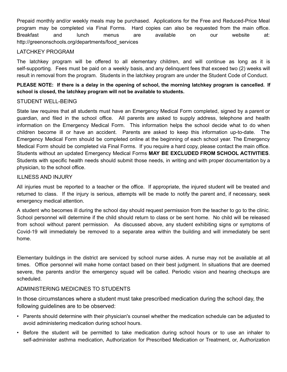Prepaid monthly and/or weekly meals may be purchased. Applications for the Free and Reduced-Price Meal program may be completed via Final Forms. Hard copies can also be requested from the main office. Breakfast and lunch menus are available on our website at: http://greenonschools.org/departments/food\_services

#### LATCHKEY PROGRAM

The latchkey program will be offered to all elementary children, and will continue as long as it is self-supporting. Fees must be paid on a weekly basis, and any delinquent fees that exceed two (2) weeks will result in removal from the program. Students in the latchkey program are under the Student Code of Conduct.

PLEASE NOTE: If there is a delay in the opening of school, the morning latchkey program is cancelled. If **school is closed, the latchkey program will not be available to students.**

#### STUDENT WELL-BEING

State law requires that all students must have an Emergency Medical Form completed, signed by a parent or guardian, and filed in the school office. All parents are asked to supply address, telephone and health information on the Emergency Medical Form. This information helps the school decide what to do when children become ill or have an accident. Parents are asked to keep this information up-to-date. The Emergency Medical Form should be completed online at the beginning of each school year. The Emergency Medical Form should be completed via Final Forms. If you require a hard copy, please contact the main office. Students without an updated Emergency Medical Forms **MAY BE EXCLUDED FROM SCHOOL ACTIVITIES**. Students with specific health needs should submit those needs, in writing and with proper documentation by a physician, to the school office.

#### ILLNESS AND INJURY

All injuries must be reported to a teacher or the office. If appropriate, the injured student will be treated and returned to class. If the injury is serious, attempts will be made to notify the parent and, if necessary, seek emergency medical attention.

A student who becomes ill during the school day should request permission from the teacher to go to the clinic. School personnel will determine if the child should return to class or be sent home. No child will be released from school without parent permission. As discussed above, any student exhibiting signs or symptoms of Covid-19 will immediately be removed to a separate area within the building and will immediately be sent home.

Elementary buildings in the district are serviced by school nurse aides. A nurse may not be available at all times. Office personnel will make home contact based on their best judgment. In situations that are deemed severe, the parents and/or the emergency squad will be called. Periodic vision and hearing checkups are scheduled.

#### ADMINISTERING MEDICINES TO STUDENTS

In those circumstances where a student must take prescribed medication during the school day, the following guidelines are to be observed:

- Parents should determine with their physician's counsel whether the medication schedule can be adjusted to avoid administering medication during school hours.
- Before the student will be permitted to take medication during school hours or to use an inhaler to self-administer asthma medication, Authorization for Prescribed Medication or Treatment, or, Authorization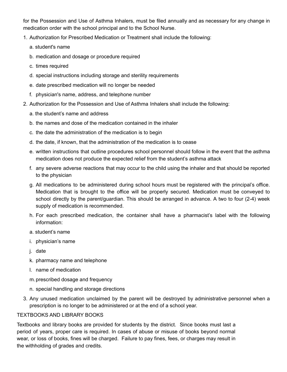for the Possession and Use of Asthma Inhalers, must be filed annually and as necessary for any change in medication order with the school principal and to the School Nurse.

- 1. Authorization for Prescribed Medication or Treatment shall include the following:
	- a. student's name
	- b. medication and dosage or procedure required
	- c. times required
	- d. special instructions including storage and sterility requirements
	- e. date prescribed medication will no longer be needed
	- f. physician's name, address, and telephone number
- 2. Authorization for the Possession and Use of Asthma Inhalers shall include the following:
	- a. the student's name and address
	- b. the names and dose of the medication contained in the inhaler
	- c. the date the administration of the medication is to begin
	- d. the date, if known, that the administration of the medication is to cease
	- e. written instructions that outline procedures school personnel should follow in the event that the asthma medication does not produce the expected relief from the student's asthma attack
	- f. any severe adverse reactions that may occur to the child using the inhaler and that should be reported to the physician
	- g. All medications to be administered during school hours must be registered with the principal's office. Medication that is brought to the office will be properly secured. Medication must be conveyed to school directly by the parent/guardian. This should be arranged in advance. A two to four (2-4) week supply of medication is recommended.
	- h. For each prescribed medication, the container shall have a pharmacist's label with the following information:
	- a. student's name
	- i. physician's name
	- j. date
	- k. pharmacy name and telephone
	- l. name of medication
	- m.prescribed dosage and frequency
	- n. special handling and storage directions
- 3. Any unused medication unclaimed by the parent will be destroyed by administrative personnel when a prescription is no longer to be administered or at the end of a school year.

#### TEXTBOOKS AND LIBRARY BOOKS

Textbooks and library books are provided for students by the district. Since books must last a period of years, proper care is required. In cases of abuse or misuse of books beyond normal wear, or loss of books, fines will be charged. Failure to pay fines, fees, or charges may result in the withholding of grades and credits.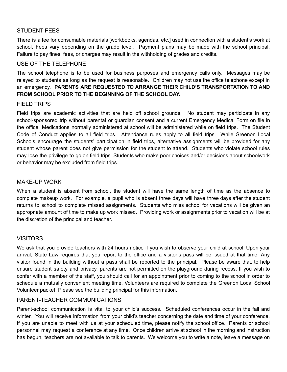#### STUDENT FEES

There is a fee for consumable materials [workbooks, agendas, etc.] used in connection with a student's work at school. Fees vary depending on the grade level. Payment plans may be made with the school principal. Failure to pay fines, fees, or charges may result in the withholding of grades and credits.

#### USE OF THE TELEPHONE

The school telephone is to be used for business purposes and emergency calls only. Messages may be relayed to students as long as the request is reasonable. Children may not use the office telephone except in an emergency. **PARENTS ARE REQUESTED TO ARRANGE THEIR CHILD'S TRANSPORTATION TO AND FROM SCHOOL PRIOR TO THE BEGINNING OF THE SCHOOL DAY.**

#### FIELD TRIPS

Field trips are academic activities that are held off school grounds. No student may participate in any school-sponsored trip without parental or guardian consent and a current Emergency Medical Form on file in the office. Medications normally administered at school will be administered while on field trips. The Student Code of Conduct applies to all field trips. Attendance rules apply to all field trips. While Greenon Local Schools encourage the students' participation in field trips, alternative assignments will be provided for any student whose parent does not give permission for the student to attend. Students who violate school rules may lose the privilege to go on field trips. Students who make poor choices and/or decisions about schoolwork or behavior may be excluded from field trips.

#### MAKE-UP WORK

When a student is absent from school, the student will have the same length of time as the absence to complete makeup work. For example, a pupil who is absent three days will have three days after the student returns to school to complete missed assignments. Students who miss school for vacations will be given an appropriate amount of time to make up work missed. Providing work or assignments prior to vacation will be at the discretion of the principal and teacher.

#### **VISITORS**

We ask that you provide teachers with 24 hours notice if you wish to observe your child at school. Upon your arrival, State Law requires that you report to the office and a visitor's pass will be issued at that time. Any visitor found in the building without a pass shall be reported to the principal. Please be aware that, to help ensure student safety and privacy, parents are not permitted on the playground during recess. If you wish to confer with a member of the staff, you should call for an appointment prior to coming to the school in order to schedule a mutually convenient meeting time. Volunteers are required to complete the Greenon Local School Volunteer packet. Please see the building principal for this information.

#### PARENT-TEACHER COMMUNICATIONS

Parent-school communication is vital to your child's success. Scheduled conferences occur in the fall and winter. You will receive information from your child's teacher concerning the date and time of your conference. If you are unable to meet with us at your scheduled time, please notify the school office. Parents or school personnel may request a conference at any time. Once children arrive at school in the morning and instruction has begun, teachers are not available to talk to parents. We welcome you to write a note, leave a message on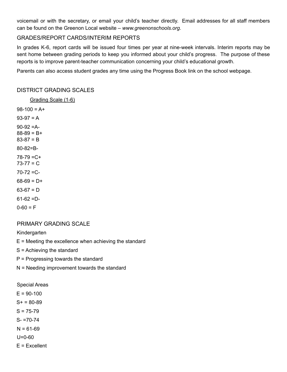voicemail or with the secretary, or email your child's teacher directly. Email addresses for all staff members can be found on the Greenon Local website – *www.greenonschools.org*.

#### GRADES/REPORT CARDS/INTERIM REPORTS

In grades K-6, report cards will be issued four times per year at nine-week intervals. Interim reports may be sent home between grading periods to keep you informed about your child's progress. The purpose of these reports is to improve parent-teacher communication concerning your child's educational growth.

Parents can also access student grades any time using the Progress Book link on the school webpage.

#### DISTRICT GRADING SCALES

Grading Scale (1-6)  $98-100 = A+$  $93-97 = A$ 90-92 =A- $88-89 = B+$  $83-87 = B$ 80-82=B-78-79 =C+  $73 - 77 = C$  $70 - 72 = C$  $68-69 = D+$  $63-67 = D$  $61-62 = D 0-60 = F$ 

#### PRIMARY GRADING SCALE

Kindergarten

 $E =$  Meeting the excellence when achieving the standard

S = Achieving the standard

- P = Progressing towards the standard
- N = Needing improvement towards the standard

Special Areas

 $E = 90-100$ 

 $S+ = 80-89$ 

 $S = 75-79$ 

 $S - 70-74$ 

 $N = 61-69$ 

U=0-60

E = Excellent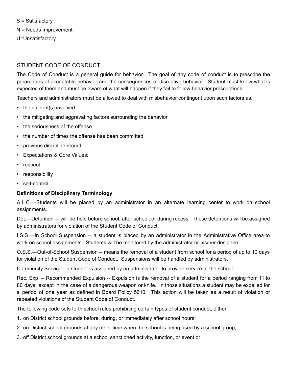S = Satisfactory N = Needs Improvement U=Unsatisfactory

#### STUDENT CODE OF CONDUCT

The Code of Conduct is a general guide for behavior. The goal of any code of conduct is to prescribe the parameters of acceptable behavior and the consequences of disruptive behavior. Student must know what is expected of them and must be aware of what will happen if they fail to follow behavior prescriptions.

Teachers and administrators must be allowed to deal with misbehavior contingent upon such factors as:

- the student(s) involved
- the mitigating and aggravating factors surrounding the behavior
- the seriousness of the offense
- the number of times the offense has been committed
- previous discipline record
- Expectations & Core Values:
- respect
- responsibility
- self-control

#### **Definitions of Disciplinary Terminology**

A.L.C.—Students will be placed by an administrator in an alternate learning center to work on school assignments.

Det.—Detention -- will be held before school, after school, or during recess. These detentions will be assigned by administrators for violation of the Student Code of Conduct.

I.S.S.—In School Suspension -- a student is placed by an administrator in the Administrative Office area to work on school assignments. Students will be monitored by the administrator or his/her designee.

O.S.S.—Out-of-School Suspension -- means the removal of a student from school for a period of up to 10 days for violation of the Student Code of Conduct. Suspensions will be handled by administrators.

Community Service—a student is assigned by an administrator to provide service at the school.

Rec. Exp. – Recommended Expulsion -- Expulsion is the removal of a student for a period ranging from 11 to 80 days, except in the case of a dangerous weapon or knife. In those situations a student may be expelled for a period of one year as defined in Board Policy 5610. This action will be taken as a result of violation or repeated violations of the Student Code of Conduct.

The following code sets forth school rules prohibiting certain types of student conduct, either:

- 1. on District school grounds before, during, or immediately after school hours;
- 2. on District school grounds at any other time when the school is being used by a school group;
- 3. off District school grounds at a school sanctioned activity, function, or event or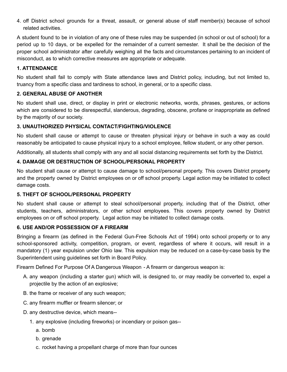4. off District school grounds for a threat, assault, or general abuse of staff member(s) because of school related activities.

A student found to be in violation of any one of these rules may be suspended (in school or out of school) for a period up to 10 days, or be expelled for the remainder of a current semester. It shall be the decision of the proper school administrator after carefully weighing all the facts and circumstances pertaining to an incident of misconduct, as to which corrective measures are appropriate or adequate.

#### **1. ATTENDANCE**

No student shall fail to comply with State attendance laws and District policy, including, but not limited to, truancy from a specific class and tardiness to school, in general, or to a specific class.

#### **2. GENERAL ABUSE OF ANOTHER**

No student shall use, direct, or display in print or electronic networks, words, phrases, gestures, or actions which are considered to be disrespectful, slanderous, degrading, obscene, profane or inappropriate as defined by the majority of our society.

#### **3. UNAUTHORIZED PHYSICAL CONTACT/FIGHTING/VIOLENCE**

No student shall cause or attempt to cause or threaten physical injury or behave in such a way as could reasonably be anticipated to cause physical injury to a school employee, fellow student, or any other person.

Additionally, all students shall comply with any and all social distancing requirements set forth by the District.

#### **4. DAMAGE OR DESTRUCTION OF SCHOOL/PERSONAL PROPERTY**

No student shall cause or attempt to cause damage to school/personal property. This covers District property and the property owned by District employees on or off school property. Legal action may be initiated to collect damage costs.

#### **5. THEFT OF SCHOOL/PERSONAL PROPERTY**

No student shall cause or attempt to steal school/personal property, including that of the District, other students, teachers, administrators, or other school employees. This covers property owned by District employees on or off school property. Legal action may be initiated to collect damage costs.

#### **6. USE AND/OR POSSESSION OF A FIREARM**

Bringing a firearm (as defined in the Federal Gun-Free Schools Act of 1994) onto school property or to any school-sponsored activity, competition, program, or event, regardless of where it occurs, will result in a mandatory (1) year expulsion under Ohio law. This expulsion may be reduced on a case-by-case basis by the Superintendent using guidelines set forth in Board Policy.

Firearm Defined For Purpose Of A Dangerous Weapon - A firearm or dangerous weapon is:

- A. any weapon (including a starter gun) which will, is designed to, or may readily be converted to, expel a projectile by the action of an explosive;
- B. the frame or receiver of any such weapon;
- C. any firearm muffler or firearm silencer; or
- D. any destructive device, which means--
	- 1. any explosive (including fireworks) or incendiary or poison gas-
		- a. bomb
		- b. grenade
		- c. rocket having a propellant charge of more than four ounces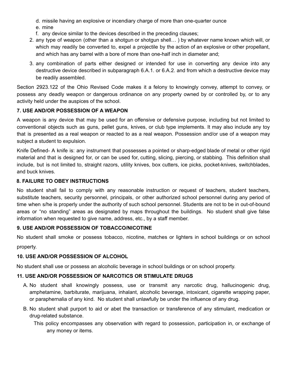- d. missile having an explosive or incendiary charge of more than one-quarter ounce
- e. mine
- f. any device similar to the devices described in the preceding clauses;
- 2. any type of weapon (other than a shotgun or shotgun shell… ) by whatever name known which will, or which may readily be converted to, expel a projectile by the action of an explosive or other propellant, and which has any barrel with a bore of more than one-half inch in diameter and;
- 3. any combination of parts either designed or intended for use in converting any device into any destructive device described in subparagraph 6.A.1. or 6.A.2. and from which a destructive device may be readily assembled.

Section 2923.122 of the Ohio Revised Code makes it a felony to knowingly convey, attempt to convey, or possess any deadly weapon or dangerous ordinance on any property owned by or controlled by, or to any activity held under the auspices of the school.

#### **7. USE AND/OR POSSESSION OF A WEAPON**

A weapon is any device that may be used for an offensive or defensive purpose, including but not limited to conventional objects such as guns, pellet guns, knives, or club type implements. It may also include any toy that is presented as a real weapon or reacted to as a real weapon. Possession and/or use of a weapon may subject a student to expulsion.

Knife Defined- A knife is: any instrument that possesses a pointed or sharp-edged blade of metal or other rigid material and that is designed for, or can be used for, cutting, slicing, piercing, or stabbing. This definition shall include, but is not limited to, straight razors, utility knives, box cutters, ice picks, pocket-knives, switchblades, and buck knives.

#### **8. FAILURE TO OBEY INSTRUCTIONS**

No student shall fail to comply with any reasonable instruction or request of teachers, student teachers, substitute teachers, security personnel, principals, or other authorized school personnel during any period of time when s/he is properly under the authority of such school personnel. Students are not to be in out-of-bound areas or "no standing" areas as designated by maps throughout the buildings. No student shall give false information when requested to give name, address, etc., by a staff member.

#### **9. USE AND/OR POSSESSION OF TOBACCO/NICOTINE**

No student shall smoke or possess tobacco, nicotine, matches or lighters in school buildings or on school property.

#### **10. USE AND/OR POSSESSION OF ALCOHOL**

No student shall use or possess an alcoholic beverage in school buildings or on school property.

#### **11. USE AND/OR POSSESSION OF NARCOTICS OR STIMULATE DRUGS**

- A. No student shall knowingly possess, use or transmit any narcotic drug, hallucinogenic drug, amphetamine, barbiturate, marijuana, inhalant, alcoholic beverage, intoxicant, cigarette wrapping paper, or paraphernalia of any kind. No student shall unlawfully be under the influence of any drug.
- B. No student shall purport to aid or abet the transaction or transference of any stimulant, medication or drug-related substance.
	- This policy encompasses any observation with regard to possession, participation in, or exchange of any money or items.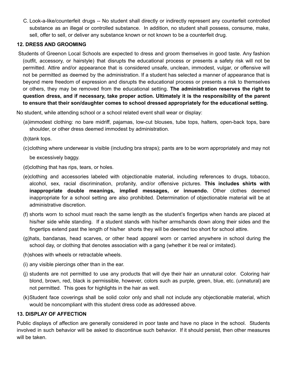C. Look-a-like/counterfeit drugs -- No student shall directly or indirectly represent any counterfeit controlled substance as an illegal or controlled substance. In addition, no student shall possess, consume, make, sell, offer to sell, or deliver any substance known or not known to be a counterfeit drug.

#### **12. DRESS AND GROOMING**

Students of Greenon Local Schools are expected to dress and groom themselves in good taste. Any fashion (outfit, accessory, or hairstyle) that disrupts the educational process or presents a safety risk will not be permitted. Attire and/or appearance that is considered unsafe, unclean, immodest, vulgar, or offensive will not be permitted as deemed by the administration. If a student has selected a manner of appearance that is beyond mere freedom of expression and disrupts the educational process or presents a risk to themselves or others, they may be removed from the educational setting. **The administration reserves the right to question dress, and if necessary, take proper action. Ultimately it is the responsibility of the parent to ensure that their son/daughter comes to school dressed appropriately for the educational setting.**

No student, while attending school or a school related event shall wear or display:

(a)immodest clothing: no bare midriff, pajamas, low-cut blouses, tube tops, halters, open-back tops, bare shoulder, or other dress deemed immodest by administration.

(b)tank tops.

- (c)clothing where underwear is visible (including bra straps); pants are to be worn appropriately and may not be excessively baggy.
- (d)clothing that has rips, tears, or holes.
- (e)clothing and accessories labeled with objectionable material, including references to drugs, tobacco, alcohol, sex, racial discrimination, profanity, and/or offensive pictures. **This includes shirts with inappropriate double meanings, implied messages, or innuendo.** Other clothes deemed inappropriate for a school setting are also prohibited. Determination of objectionable material will be at administrative discretion.
- (f) shorts worn to school must reach the same length as the student's fingertips when hands are placed at his/her side while standing. If a student stands with his/her arms/hands down along their sides and the fingertips extend past the length of his/her shorts they will be deemed too short for school attire.
- (g)hats, bandanas, head scarves, or other head apparel worn or carried anywhere in school during the school day, or clothing that denotes association with a gang (whether it be real or imitated).
- (h)shoes with wheels or retractable wheels.
- (i) any visible piercings other than in the ear.
- (j) students are not permitted to use any products that will dye their hair an unnatural color. Coloring hair blond, brown, red, black is permissible, however, colors such as purple, green, blue, etc. (unnatural) are not permitted. This goes for highlights in the hair as well.
- (k)Student face coverings shall be solid color only and shall not include any objectionable material, which would be noncompliant with this student dress code as addressed above.

#### **13. DISPLAY OF AFFECTION**

Public displays of affection are generally considered in poor taste and have no place in the school. Students involved in such behavior will be asked to discontinue such behavior. If it should persist, then other measures will be taken.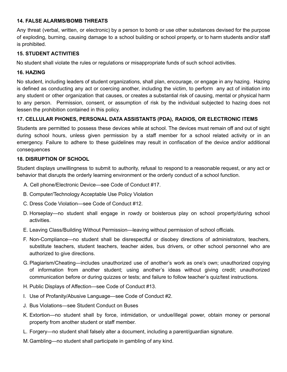#### **14. FALSE ALARMS/BOMB THREATS**

Any threat (verbal, written, or electronic) by a person to bomb or use other substances devised for the purpose of exploding, burning, causing damage to a school building or school property, or to harm students and/or staff is prohibited.

#### **15. STUDENT ACTIVITIES**

No student shall violate the rules or regulations or misappropriate funds of such school activities.

#### **16. HAZING**

No student, including leaders of student organizations, shall plan, encourage, or engage in any hazing. Hazing is defined as conducting any act or coercing another, including the victim, to perform any act of initiation into any student or other organization that causes, or creates a substantial risk of causing, mental or physical harm to any person. Permission, consent, or assumption of risk by the individual subjected to hazing does not lessen the prohibition contained in this policy.

#### **17. CELLULAR PHONES, PERSONAL DATA ASSISTANTS (PDA), RADIOS, OR ELECTRONIC ITEMS**

Students are permitted to possess these devices while at school. The devices must remain off and out of sight during school hours, unless given permission by a staff member for a school related activity or in an emergency. Failure to adhere to these guidelines may result in confiscation of the device and/or additional consequences

#### **18. DISRUPTION OF SCHOOL**

Student displays unwillingness to submit to authority, refusal to respond to a reasonable request, or any act or behavior that disrupts the orderly learning environment or the orderly conduct of a school function.

- A. Cell phone/Electronic Device—see Code of Conduct #17.
- B. Computer/Technology Acceptable Use Policy Violation
- C. Dress Code Violation—see Code of Conduct #12.
- D. Horseplay—no student shall engage in rowdy or boisterous play on school property/during school activities.
- E. Leaving Class/Building Without Permission—leaving without permission of school officials.
- F. Non-Compliance—no student shall be disrespectful or disobey directions of administrators, teachers, substitute teachers, student teachers, teacher aides, bus drivers, or other school personnel who are authorized to give directions.
- G. Plagiarism/Cheating—includes unauthorized use of another's work as one's own; unauthorized copying of information from another student; using another's ideas without giving credit; unauthorized communication before or during quizzes or tests; and failure to follow teacher's quiz/test instructions.
- H. Public Displays of Affection—see Code of Conduct #13.
- I. Use of Profanity/Abusive Language—see Code of Conduct #2.
- J. Bus Violations—see Student Conduct on Buses
- K. Extortion—no student shall by force, intimidation, or undue/illegal power, obtain money or personal property from another student or staff member.
- L. Forgery—no student shall falsely alter a document, including a parent/guardian signature.
- M.Gambling—no student shall participate in gambling of any kind.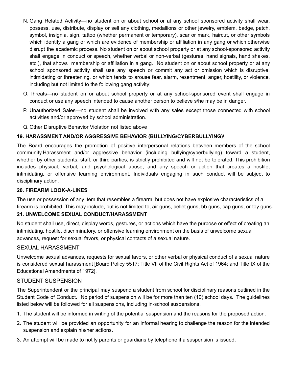- N. Gang Related Activity—no student on or about school or at any school sponsored activity shall wear, possess, use, distribute, display or sell any clothing, medallions or other jewelry, emblem, badge, patch, symbol, insignia, sign, tattoo (whether permanent or temporary), scar or mark, haircut, or other symbols which identify a gang or which are evidence of membership or affiliation in any gang or which otherwise disrupt the academic process. No student on or about school property or at any school-sponsored activity shall engage in conduct or speech, whether verbal or non-verbal (gestures, hand signals, hand shakes, etc.), that shows membership or affiliation in a gang. No student on or about school property or at any school sponsored activity shall use any speech or commit any act or omission which is disruptive, intimidating or threatening, or which tends to arouse fear, alarm, resentment, anger, hostility, or violence, including but not limited to the following gang activity:
- O. Threats—no student on or about school property or at any school-sponsored event shall engage in conduct or use any speech intended to cause another person to believe s/he may be in danger.
- P. Unauthorized Sales—no student shall be involved with any sales except those connected with school activities and/or approved by school administration.
- Q. Other Disruptive Behavior Violation not listed above

#### **19. HARASSMENT AND/OR AGGRESSIVE BEHAVIOR (BULLYING/CYBERBULLYING)\**

The Board encourages the promotion of positive interpersonal relations between members of the school community.Harassment and/or aggressive behavior (including bullying/cyberbullying) toward a student, whether by other students, staff, or third parties, is strictly prohibited and will not be tolerated. This prohibition includes physical, verbal, and psychological abuse, and any speech or action that creates a hostile, intimidating, or offensive learning environment. Individuals engaging in such conduct will be subject to disciplinary action.

#### **20. FIREARM LOOK-A-LIKES**

The use or possession of any item that resembles a firearm, but does not have explosive characteristics of a firearm is prohibited. This may include, but is not limited to, air guns, pellet guns, bb guns, cap guns, or toy guns.

#### **21. UNWELCOME SEXUAL CONDUCT/HARASSMENT**

No student shall use, direct, display words, gestures, or actions which have the purpose or effect of creating an intimidating, hostile, discriminatory, or offensive learning environment on the basis of unwelcome sexual advances, request for sexual favors, or physical contacts of a sexual nature.

#### SEXUAL HARASSMENT

Unwelcome sexual advances, requests for sexual favors, or other verbal or physical conduct of a sexual nature is considered sexual harassment [Board Policy 5517; Title VII of the Civil Rights Act of 1964; and Title IX of the Educational Amendments of 1972].

#### STUDENT SUSPENSION

The Superintendent or the principal may suspend a student from school for disciplinary reasons outlined in the Student Code of Conduct. No period of suspension will be for more than ten (10) school days. The guidelines listed below will be followed for all suspensions, including in-school suspensions.

- 1. The student will be informed in writing of the potential suspension and the reasons for the proposed action.
- 2. The student will be provided an opportunity for an informal hearing to challenge the reason for the intended suspension and explain his/her actions.
- 3. An attempt will be made to notify parents or guardians by telephone if a suspension is issued.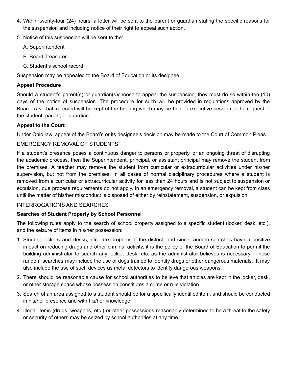- 4. Within twenty-four (24) hours, a letter will be sent to the parent or guardian stating the specific reasons for the suspension and including notice of their right to appeal such action.
- 5. Notice of this suspension will be sent to the:
	- A. Superintendent
	- B. Board Treasurer
	- C. Student's school record

Suspension may be appealed to the Board of Education or its designee.

#### **Appeal Procedure**

Should a student's parent(s) or guardian(s)choose to appeal the suspension, they must do so within ten (10) days of the notice of suspension. The procedure for such will be provided in regulations approved by the Board. A verbatim record will be kept of the hearing which may be held in executive session at the request of the student, parent, or guardian.

#### **Appeal to the Court**

Under Ohio law, appeal of the Board's or its designee's decision may be made to the Court of Common Pleas.

#### EMERGENCY REMOVAL OF STUDENTS

If a student's presence poses a continuous danger to persons or property, or an ongoing threat of disrupting the academic process, then the Superintendent, principal, or assistant principal may remove the student from the premises. A teacher may remove the student from curricular or extracurricular activities under his/her supervision, but not from the premises. In all cases of normal disciplinary procedures where a student is removed from a curricular or extracurricular activity for less than 24 hours and is not subject to suspension or expulsion, due process requirements do not apply. In an emergency removal, a student can be kept from class until the matter of his/her misconduct is disposed of either by reinstatement, suspension, or expulsion.

#### INTERROGATIONS AND SEARCHES

#### **Searches of Student Property by School Personnel**

The following rules apply to the search of school property assigned to a specific student (locker, desk, etc.), and the seizure of items in his/her possession:

- 1. Student lockers and desks, etc. are property of the district; and since random searches have a positive impact on reducing drugs and other criminal activity, it is the policy of the Board of Education to permit the building administrator to search any locker, desk, etc. as the administrator believes is necessary. These random searches may include the use of dogs trained to identify drugs or other dangerous materials. It may also include the use of such devices as metal detectors to identify dangerous weapons.
- 2. There should be reasonable cause for school authorities to believe that articles are kept in the locker, desk, or other storage space whose possession constitutes a crime or rule violation.
- 3. Search of an area assigned to a student should be for a specifically identified item, and should be conducted in his/her presence and with his/her knowledge.
- 4. Illegal items (drugs, weapons, etc.) or other possessions reasonably determined to be a threat to the safety or security of others may be seized by school authorities at any time.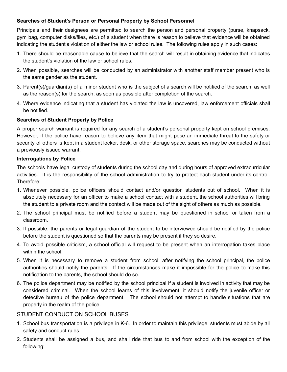#### **Searches of Student's Person or Personal Property by School Personnel**

Principals and their designees are permitted to search the person and personal property (purse, knapsack, gym bag, computer disks/files, etc.) of a student when there is reason to believe that evidence will be obtained indicating the student's violation of either the law or school rules. The following rules apply in such cases:

- 1. There should be reasonable cause to believe that the search will result in obtaining evidence that indicates the student's violation of the law or school rules.
- 2. When possible, searches will be conducted by an administrator with another staff member present who is the same gender as the student.
- 3. Parent(s)/guardian(s) of a minor student who is the subject of a search will be notified of the search, as well as the reason(s) for the search, as soon as possible after completion of the search.
- 4. Where evidence indicating that a student has violated the law is uncovered, law enforcement officials shall be notified.

#### **Searches of Student Property by Police**

A proper search warrant is required for any search of a student's personal property kept on school premises. However, if the police have reason to believe any item that might pose an immediate threat to the safety or security of others is kept in a student locker, desk, or other storage space, searches may be conducted without a previously issued warrant.

#### **Interrogations by Police**

The schools have legal custody of students during the school day and during hours of approved extracurricular activities. It is the responsibility of the school administration to try to protect each student under its control. Therefore:

- 1. Whenever possible, police officers should contact and/or question students out of school. When it is absolutely necessary for an officer to make a school contact with a student, the school authorities will bring the student to a private room and the contact will be made out of the sight of others as much as possible.
- 2. The school principal must be notified before a student may be questioned in school or taken from a classroom.
- 3. If possible, the parents or legal guardian of the student to be interviewed should be notified by the police before the student is questioned so that the parents may be present if they so desire.
- 4. To avoid possible criticism, a school official will request to be present when an interrogation takes place within the school.
- 5. When it is necessary to remove a student from school, after notifying the school principal, the police authorities should notify the parents. If the circumstances make it impossible for the police to make this notification to the parents, the school should do so.
- 6. The police department may be notified by the school principal if a student is involved in activity that may be considered criminal. When the school learns of this involvement, it should notify the juvenile officer or detective bureau of the police department. The school should not attempt to handle situations that are properly in the realm of the police.

#### STUDENT CONDUCT ON SCHOOL BUSES

- 1. School bus transportation is a privilege in K-6. In order to maintain this privilege, students must abide by all safety and conduct rules.
- 2. Students shall be assigned a bus, and shall ride that bus to and from school with the exception of the following: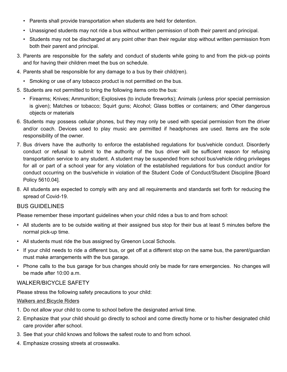- Parents shall provide transportation when students are held for detention.
- Unassigned students may not ride a bus without written permission of both their parent and principal.
- Students may not be discharged at any point other than their regular stop without written permission from both their parent and principal.
- 3. Parents are responsible for the safety and conduct of students while going to and from the pick-up points and for having their children meet the bus on schedule.
- 4. Parents shall be responsible for any damage to a bus by their child(ren).
	- Smoking or use of any tobacco product is not permitted on the bus.
- 5. Students are not permitted to bring the following items onto the bus:
	- Firearms; Knives; Ammunition; Explosives (to include fireworks); Animals (unless prior special permission is given); Matches or tobacco; Squirt guns; Alcohol; Glass bottles or containers; and Other dangerous objects or materials
- 6. Students may possess cellular phones, but they may only be used with special permission from the driver and/or coach. Devices used to play music are permitted if headphones are used. Items are the sole responsibility of the owner.
- 7. Bus drivers have the authority to enforce the established regulations for bus/vehicle conduct. Disorderly conduct or refusal to submit to the authority of the bus driver will be sufficient reason for refusing transportation service to any student. A student may be suspended from school bus/vehicle riding privileges for all or part of a school year for any violation of the established regulations for bus conduct and/or for conduct occurring on the bus/vehicle in violation of the Student Code of Conduct/Student Discipline [Board Policy 5610.04].
- 8. All students are expected to comply with any and all requirements and standards set forth for reducing the spread of Covid-19.

#### BUS GUIDELINES

Please remember these important guidelines when your child rides a bus to and from school:

- All students are to be outside waiting at their assigned bus stop for their bus at least 5 minutes before the normal pick-up time.
- All students must ride the bus assigned by Greenon Local Schools.
- If your child needs to ride a different bus, or get off at a different stop on the same bus, the parent/guardian must make arrangements with the bus garage.
- Phone calls to the bus garage for bus changes should only be made for rare emergencies. No changes will be made after 10:00 a.m.

#### WALKER/BICYCLE SAFETY

Please stress the following safety precautions to your child:

#### Walkers and Bicycle Riders

- 1. Do not allow your child to come to school before the designated arrival time.
- 2. Emphasize that your child should go directly to school and come directly home or to his/her designated child care provider after school.
- 3. See that your child knows and follows the safest route to and from school.
- 4. Emphasize crossing streets at crosswalks.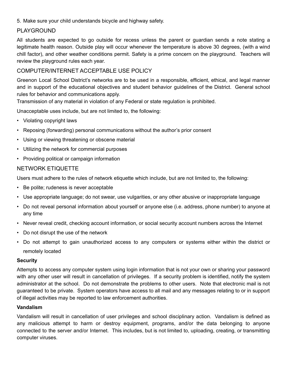5. Make sure your child understands bicycle and highway safety.

#### PLAYGROUND

All students are expected to go outside for recess unless the parent or guardian sends a note stating a legitimate health reason. Outside play will occur whenever the temperature is above 30 degrees, (with a wind chill factor), and other weather conditions permit. Safety is a prime concern on the playground. Teachers will review the playground rules each year.

#### COMPUTER/INTERNET ACCEPTABLE USE POLICY

Greenon Local School District's networks are to be used in a responsible, efficient, ethical, and legal manner and in support of the educational objectives and student behavior guidelines of the District. General school rules for behavior and communications apply.

Transmission of any material in violation of any Federal or state regulation is prohibited.

Unacceptable uses include, but are not limited to, the following:

- Violating copyright laws
- Reposing (forwarding) personal communications without the author's prior consent
- Using or viewing threatening or obscene material
- Utilizing the network for commercial purposes
- Providing political or campaign information

#### NETWORK ETIQUETTE

Users must adhere to the rules of network etiquette which include, but are not limited to, the following:

- Be polite; rudeness is never acceptable
- Use appropriate language; do not swear, use vulgarities, or any other abusive or inappropriate language
- Do not reveal personal information about yourself or anyone else (i.e. address, phone number) to anyone at any time
- Never reveal credit, checking account information, or social security account numbers across the Internet
- Do not disrupt the use of the network
- Do not attempt to gain unauthorized access to any computers or systems either within the district or remotely located

#### **Security**

Attempts to access any computer system using login information that is not your own or sharing your password with any other user will result in cancellation of privileges. If a security problem is identified, notify the system administrator at the school. Do not demonstrate the problems to other users. Note that electronic mail is not guaranteed to be private. System operators have access to all mail and any messages relating to or in support of illegal activities may be reported to law enforcement authorities.

#### **Vandalism**

Vandalism will result in cancellation of user privileges and school disciplinary action. Vandalism is defined as any malicious attempt to harm or destroy equipment, programs, and/or the data belonging to anyone connected to the server and/or Internet. This includes, but is not limited to, uploading, creating, or transmitting computer viruses.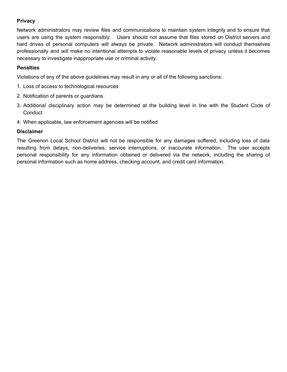#### **Privacy**

Network administrators may review files and communications to maintain system integrity and to ensure that users are using the system responsibly. Users should not assume that files stored on District servers and hard drives of personal computers will always be private. Network administrators will conduct themselves professionally and will make no intentional attempts to violate reasonable levels of privacy unless it becomes necessary to investigate inappropriate use or criminal activity.

#### **Penalties**

Violations of any of the above guidelines may result in any or all of the following sanctions:

- 1. Loss of access to technological resources
- 2. Notification of parents or guardians
- 3. Additional disciplinary action may be determined at the building level in line with the Student Code of **Conduct**
- 4. When applicable, law enforcement agencies will be notified

#### **Disclaimer**

The Greenon Local School District will not be responsible for any damages suffered, including loss of data resulting from delays, non-deliveries, service interruptions, or inaccurate information. The user accepts personal responsibility for any information obtained or delivered via the network, including the sharing of personal information such as home address, checking account, and credit card information.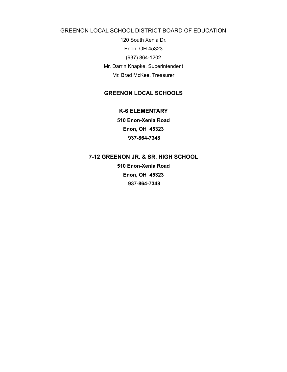GREENON LOCAL SCHOOL DISTRICT BOARD OF EDUCATION

120 South Xenia Dr. Enon, OH 45323 (937) 864-1202 Mr. Darrin Knapke, Superintendent Mr. Brad McKee, Treasurer

#### **GREENON LOCAL SCHOOLS**

**K-6 ELEMENTARY**

**510 Enon-Xenia Road Enon, OH 45323 937-864-7348**

**7-12 GREENON JR. & SR. HIGH SCHOOL**

**510 Enon-Xenia Road Enon, OH 45323 937-864-7348**